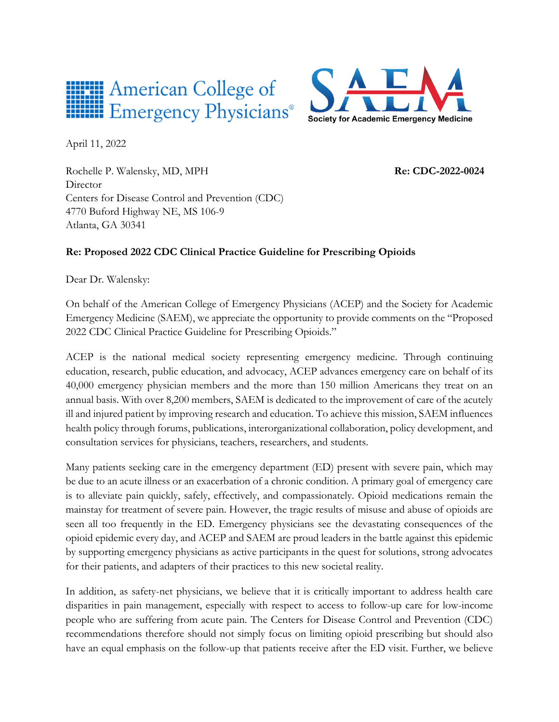



April 11, 2022

Rochelle P. Walensky, MD, MPH **Re: CDC-2022-0024** Director Centers for Disease Control and Prevention (CDC) 4770 Buford Highway NE, MS 106-9 Atlanta, GA 30341

# **Re: Proposed 2022 CDC Clinical Practice Guideline for Prescribing Opioids**

Dear Dr. Walensky:

On behalf of the American College of Emergency Physicians (ACEP) and the Society for Academic Emergency Medicine (SAEM), we appreciate the opportunity to provide comments on the "Proposed 2022 CDC Clinical Practice Guideline for Prescribing Opioids."

ACEP is the national medical society representing emergency medicine. Through continuing education, research, public education, and advocacy, ACEP advances emergency care on behalf of its 40,000 emergency physician members and the more than 150 million Americans they treat on an annual basis. With over 8,200 members, SAEM is dedicated to the improvement of care of the acutely ill and injured patient by improving research and education. To achieve this mission, SAEM influences health policy through forums, publications, interorganizational collaboration, policy development, and consultation services for physicians, teachers, researchers, and students.

Many patients seeking care in the emergency department (ED) present with severe pain, which may be due to an acute illness or an exacerbation of a chronic condition. A primary goal of emergency care is to alleviate pain quickly, safely, effectively, and compassionately. Opioid medications remain the mainstay for treatment of severe pain. However, the tragic results of misuse and abuse of opioids are seen all too frequently in the ED. Emergency physicians see the devastating consequences of the opioid epidemic every day, and ACEP and SAEM are proud leaders in the battle against this epidemic by supporting emergency physicians as active participants in the quest for solutions, strong advocates for their patients, and adapters of their practices to this new societal reality.

In addition, as safety-net physicians, we believe that it is critically important to address health care disparities in pain management, especially with respect to access to follow-up care for low-income people who are suffering from acute pain. The Centers for Disease Control and Prevention (CDC) recommendations therefore should not simply focus on limiting opioid prescribing but should also have an equal emphasis on the follow-up that patients receive after the ED visit. Further, we believe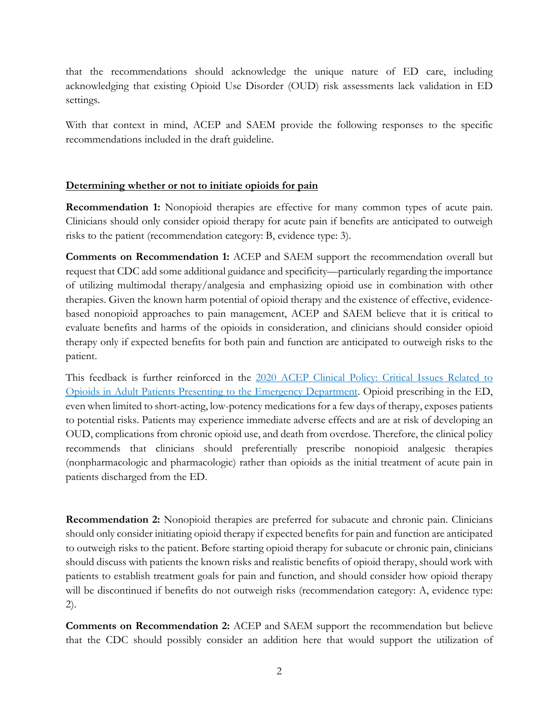that the recommendations should acknowledge the unique nature of ED care, including acknowledging that existing Opioid Use Disorder (OUD) risk assessments lack validation in ED settings.

With that context in mind, ACEP and SAEM provide the following responses to the specific recommendations included in the draft guideline.

## **Determining whether or not to initiate opioids for pain**

**Recommendation 1:** Nonopioid therapies are effective for many common types of acute pain. Clinicians should only consider opioid therapy for acute pain if benefits are anticipated to outweigh risks to the patient (recommendation category: B, evidence type: 3).

**Comments on Recommendation 1:** ACEP and SAEM support the recommendation overall but request that CDC add some additional guidance and specificity—particularly regarding the importance of utilizing multimodal therapy/analgesia and emphasizing opioid use in combination with other therapies. Given the known harm potential of opioid therapy and the existence of effective, evidencebased nonopioid approaches to pain management, ACEP and SAEM believe that it is critical to evaluate benefits and harms of the opioids in consideration, and clinicians should consider opioid therapy only if expected benefits for both pain and function are anticipated to outweigh risks to the patient.

This feedback is further reinforced in the [2020 ACEP Clinical Policy: Critical Issues Related to](https://www.acep.org/globalassets/new-pdfs/clinical-policies/opioids-2020.pdf)  [Opioids in Adult Patients Presenting to the Emergency Department.](https://www.acep.org/globalassets/new-pdfs/clinical-policies/opioids-2020.pdf) Opioid prescribing in the ED, even when limited to short-acting, low-potency medications for a few days of therapy, exposes patients to potential risks. Patients may experience immediate adverse effects and are at risk of developing an OUD, complications from chronic opioid use, and death from overdose. Therefore, the clinical policy recommends that clinicians should preferentially prescribe nonopioid analgesic therapies (nonpharmacologic and pharmacologic) rather than opioids as the initial treatment of acute pain in patients discharged from the ED.

**Recommendation 2:** Nonopioid therapies are preferred for subacute and chronic pain. Clinicians should only consider initiating opioid therapy if expected benefits for pain and function are anticipated to outweigh risks to the patient. Before starting opioid therapy for subacute or chronic pain, clinicians should discuss with patients the known risks and realistic benefits of opioid therapy, should work with patients to establish treatment goals for pain and function, and should consider how opioid therapy will be discontinued if benefits do not outweigh risks (recommendation category: A, evidence type: 2).

**Comments on Recommendation 2:** ACEP and SAEM support the recommendation but believe that the CDC should possibly consider an addition here that would support the utilization of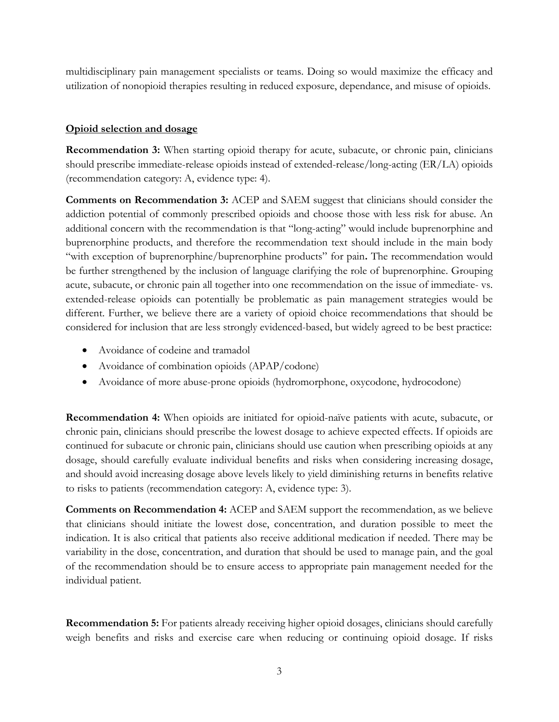multidisciplinary pain management specialists or teams. Doing so would maximize the efficacy and utilization of nonopioid therapies resulting in reduced exposure, dependance, and misuse of opioids.

## **Opioid selection and dosage**

**Recommendation 3:** When starting opioid therapy for acute, subacute, or chronic pain, clinicians should prescribe immediate-release opioids instead of extended-release/long-acting (ER/LA) opioids (recommendation category: A, evidence type: 4).

**Comments on Recommendation 3:** ACEP and SAEM suggest that clinicians should consider the addiction potential of commonly prescribed opioids and choose those with less risk for abuse. An additional concern with the recommendation is that "long-acting" would include buprenorphine and buprenorphine products, and therefore the recommendation text should include in the main body "with exception of buprenorphine/buprenorphine products" for pain**.** The recommendation would be further strengthened by the inclusion of language clarifying the role of buprenorphine. Grouping acute, subacute, or chronic pain all together into one recommendation on the issue of immediate- vs. extended-release opioids can potentially be problematic as pain management strategies would be different. Further, we believe there are a variety of opioid choice recommendations that should be considered for inclusion that are less strongly evidenced-based, but widely agreed to be best practice:

- Avoidance of codeine and tramadol
- Avoidance of combination opioids (APAP/codone)
- Avoidance of more abuse-prone opioids (hydromorphone, oxycodone, hydrocodone)

**Recommendation 4:** When opioids are initiated for opioid-naïve patients with acute, subacute, or chronic pain, clinicians should prescribe the lowest dosage to achieve expected effects. If opioids are continued for subacute or chronic pain, clinicians should use caution when prescribing opioids at any dosage, should carefully evaluate individual benefits and risks when considering increasing dosage, and should avoid increasing dosage above levels likely to yield diminishing returns in benefits relative to risks to patients (recommendation category: A, evidence type: 3).

**Comments on Recommendation 4:** ACEP and SAEM support the recommendation, as we believe that clinicians should initiate the lowest dose, concentration, and duration possible to meet the indication. It is also critical that patients also receive additional medication if needed. There may be variability in the dose, concentration, and duration that should be used to manage pain, and the goal of the recommendation should be to ensure access to appropriate pain management needed for the individual patient.

**Recommendation 5:** For patients already receiving higher opioid dosages, clinicians should carefully weigh benefits and risks and exercise care when reducing or continuing opioid dosage. If risks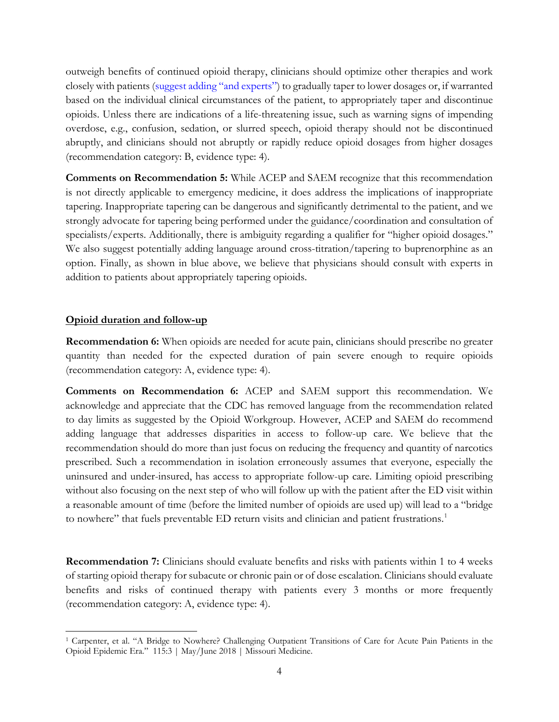outweigh benefits of continued opioid therapy, clinicians should optimize other therapies and work closely with patients (suggest adding "and experts") to gradually taper to lower dosages or, if warranted based on the individual clinical circumstances of the patient, to appropriately taper and discontinue opioids. Unless there are indications of a life-threatening issue, such as warning signs of impending overdose, e.g., confusion, sedation, or slurred speech, opioid therapy should not be discontinued abruptly, and clinicians should not abruptly or rapidly reduce opioid dosages from higher dosages (recommendation category: B, evidence type: 4).

**Comments on Recommendation 5:** While ACEP and SAEM recognize that this recommendation is not directly applicable to emergency medicine, it does address the implications of inappropriate tapering. Inappropriate tapering can be dangerous and significantly detrimental to the patient, and we strongly advocate for tapering being performed under the guidance/coordination and consultation of specialists/experts. Additionally, there is ambiguity regarding a qualifier for "higher opioid dosages." We also suggest potentially adding language around cross-titration/tapering to buprenorphine as an option. Finally, as shown in blue above, we believe that physicians should consult with experts in addition to patients about appropriately tapering opioids.

#### **Opioid duration and follow-up**

**Recommendation 6:** When opioids are needed for acute pain, clinicians should prescribe no greater quantity than needed for the expected duration of pain severe enough to require opioids (recommendation category: A, evidence type: 4).

**Comments on Recommendation 6:** ACEP and SAEM support this recommendation. We acknowledge and appreciate that the CDC has removed language from the recommendation related to day limits as suggested by the Opioid Workgroup. However, ACEP and SAEM do recommend adding language that addresses disparities in access to follow-up care. We believe that the recommendation should do more than just focus on reducing the frequency and quantity of narcotics prescribed. Such a recommendation in isolation erroneously assumes that everyone, especially the uninsured and under-insured, has access to appropriate follow-up care. Limiting opioid prescribing without also focusing on the next step of who will follow up with the patient after the ED visit within a reasonable amount of time (before the limited number of opioids are used up) will lead to a "bridge to nowhere" that fuels preventable ED return visits and clinician and patient frustrations.<sup>[1](#page-3-0)</sup>

**Recommendation 7:** Clinicians should evaluate benefits and risks with patients within 1 to 4 weeks of starting opioid therapy for subacute or chronic pain or of dose escalation. Clinicians should evaluate benefits and risks of continued therapy with patients every 3 months or more frequently (recommendation category: A, evidence type: 4).

<span id="page-3-0"></span><sup>&</sup>lt;sup>1</sup> Carpenter, et al. "A Bridge to Nowhere? Challenging Outpatient Transitions of Care for Acute Pain Patients in the Opioid Epidemic Era." 115:3 | May/June 2018 | Missouri Medicine.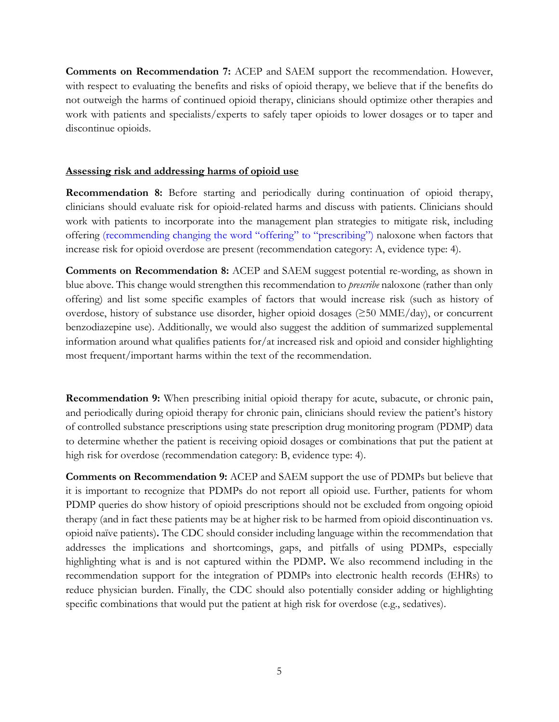**Comments on Recommendation 7:** ACEP and SAEM support the recommendation. However, with respect to evaluating the benefits and risks of opioid therapy, we believe that if the benefits do not outweigh the harms of continued opioid therapy, clinicians should optimize other therapies and work with patients and specialists/experts to safely taper opioids to lower dosages or to taper and discontinue opioids.

#### **Assessing risk and addressing harms of opioid use**

**Recommendation 8:** Before starting and periodically during continuation of opioid therapy, clinicians should evaluate risk for opioid-related harms and discuss with patients. Clinicians should work with patients to incorporate into the management plan strategies to mitigate risk, including offering (recommending changing the word "offering" to "prescribing") naloxone when factors that increase risk for opioid overdose are present (recommendation category: A, evidence type: 4).

**Comments on Recommendation 8:** ACEP and SAEM suggest potential re-wording, as shown in blue above. This change would strengthen this recommendation to *prescribe* naloxone (rather than only offering) and list some specific examples of factors that would increase risk (such as history of overdose, history of substance use disorder, higher opioid dosages (≥50 MME/day), or concurrent benzodiazepine use). Additionally, we would also suggest the addition of summarized supplemental information around what qualifies patients for/at increased risk and opioid and consider highlighting most frequent/important harms within the text of the recommendation.

**Recommendation 9:** When prescribing initial opioid therapy for acute, subacute, or chronic pain, and periodically during opioid therapy for chronic pain, clinicians should review the patient's history of controlled substance prescriptions using state prescription drug monitoring program (PDMP) data to determine whether the patient is receiving opioid dosages or combinations that put the patient at high risk for overdose (recommendation category: B, evidence type: 4).

**Comments on Recommendation 9:** ACEP and SAEM support the use of PDMPs but believe that it is important to recognize that PDMPs do not report all opioid use. Further, patients for whom PDMP queries do show history of opioid prescriptions should not be excluded from ongoing opioid therapy (and in fact these patients may be at higher risk to be harmed from opioid discontinuation vs. opioid naïve patients)**.** The CDC should consider including language within the recommendation that addresses the implications and shortcomings, gaps, and pitfalls of using PDMPs, especially highlighting what is and is not captured within the PDMP**.** We also recommend including in the recommendation support for the integration of PDMPs into electronic health records (EHRs) to reduce physician burden. Finally, the CDC should also potentially consider adding or highlighting specific combinations that would put the patient at high risk for overdose (e.g., sedatives).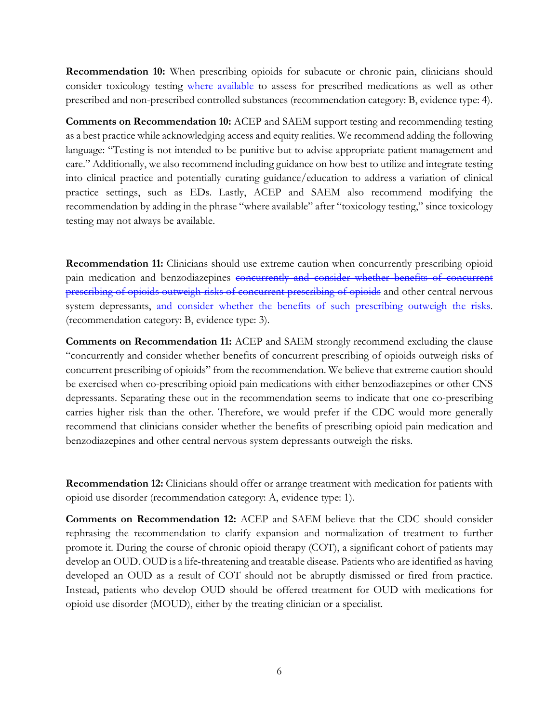**Recommendation 10:** When prescribing opioids for subacute or chronic pain, clinicians should consider toxicology testing where available to assess for prescribed medications as well as other prescribed and non-prescribed controlled substances (recommendation category: B, evidence type: 4).

**Comments on Recommendation 10:** ACEP and SAEM support testing and recommending testing as a best practice while acknowledging access and equity realities. We recommend adding the following language: "Testing is not intended to be punitive but to advise appropriate patient management and care." Additionally, we also recommend including guidance on how best to utilize and integrate testing into clinical practice and potentially curating guidance/education to address a variation of clinical practice settings, such as EDs. Lastly, ACEP and SAEM also recommend modifying the recommendation by adding in the phrase "where available" after "toxicology testing," since toxicology testing may not always be available.

**Recommendation 11:** Clinicians should use extreme caution when concurrently prescribing opioid pain medication and benzodiazepines concurrently and consider whether benefits of concurrent prescribing of opioids outweigh risks of concurrent prescribing of opioids and other central nervous system depressants, and consider whether the benefits of such prescribing outweigh the risks. (recommendation category: B, evidence type: 3).

**Comments on Recommendation 11:** ACEP and SAEM strongly recommend excluding the clause "concurrently and consider whether benefits of concurrent prescribing of opioids outweigh risks of concurrent prescribing of opioids" from the recommendation. We believe that extreme caution should be exercised when co-prescribing opioid pain medications with either benzodiazepines or other CNS depressants. Separating these out in the recommendation seems to indicate that one co-prescribing carries higher risk than the other. Therefore, we would prefer if the CDC would more generally recommend that clinicians consider whether the benefits of prescribing opioid pain medication and benzodiazepines and other central nervous system depressants outweigh the risks.

**Recommendation 12:** Clinicians should offer or arrange treatment with medication for patients with opioid use disorder (recommendation category: A, evidence type: 1).

**Comments on Recommendation 12:** ACEP and SAEM believe that the CDC should consider rephrasing the recommendation to clarify expansion and normalization of treatment to further promote it. During the course of chronic opioid therapy (COT), a significant cohort of patients may develop an OUD. OUD is a life-threatening and treatable disease. Patients who are identified as having developed an OUD as a result of COT should not be abruptly dismissed or fired from practice. Instead, patients who develop OUD should be offered treatment for OUD with medications for opioid use disorder (MOUD), either by the treating clinician or a specialist.